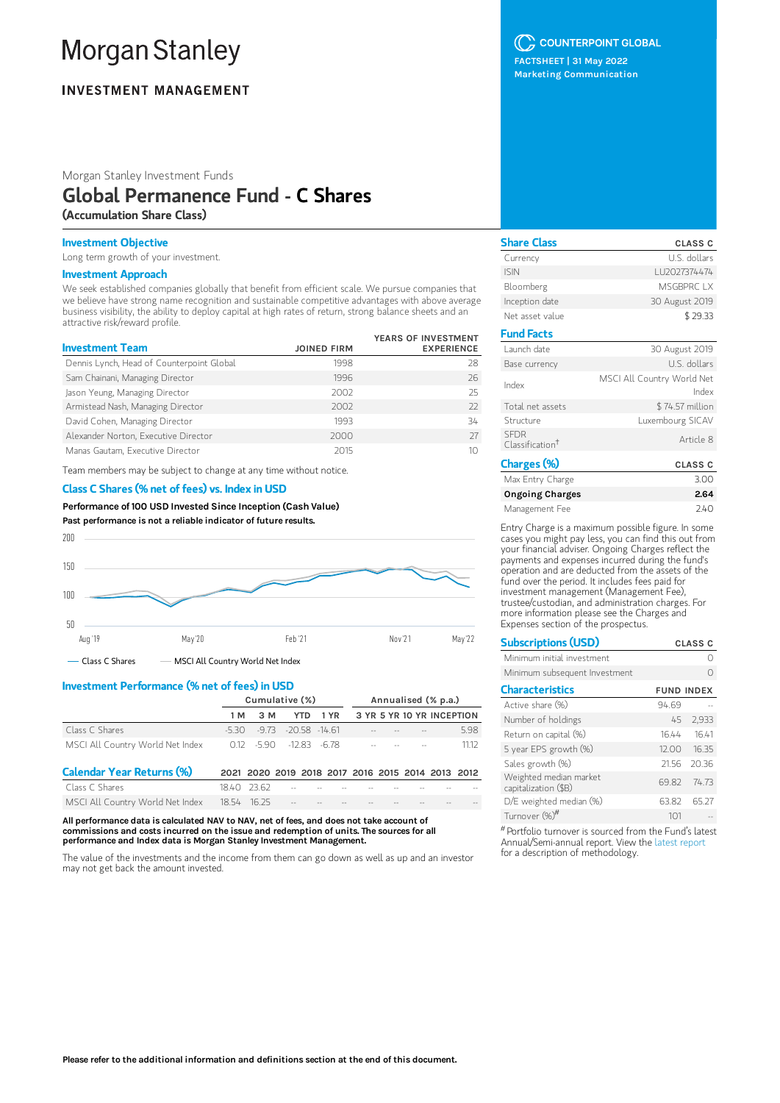# **Morgan Stanley**

# **INVESTMENT MANAGEMENT**

Morgan Stanley Investment Funds

# Global Permanence Fund - C Shares (Accumulation Share Class)

## Investment Objective

Long term growth of your investment.

### Investment Approach

We seek established companies globally that benefit from efficient scale. We pursue companies that we believe have strong name recognition and sustainable competitive advantages with above average business visibility, the ability to deploy capital at high rates of return, strong balance sheets and an attractive risk/reward profile.

| <b>Investment Team</b>                    | <b>JOINED FIRM</b> | YEARS OF INVESTMENT<br><b>EXPERIENCE</b> |
|-------------------------------------------|--------------------|------------------------------------------|
| Dennis Lynch, Head of Counterpoint Global | 1998               | 28                                       |
| Sam Chainani, Managing Director           | 1996               | 26                                       |
| Jason Yeung, Managing Director            | 2002               | 25                                       |
| Armistead Nash, Managing Director         | 2002               | 22                                       |
| David Cohen, Managing Director            | 1993               | 34                                       |
| Alexander Norton, Executive Director      | 2000               | 27                                       |
| Manas Gautam, Executive Director          | 2015               | 1Ο                                       |

Team members may be subject to change at any time without notice.

#### Class C Shares (% net of fees) vs. Index in USD

Performance of 100 USD Invested Since Inception (Cash Value) Past performance is not a reliable indicator of future results.



# Investment Performance (% net of fees) in USD

|                                  | Cumulative (%) |           |                                                   | Annualised (% p.a.) |  |  |  |                           |      |
|----------------------------------|----------------|-----------|---------------------------------------------------|---------------------|--|--|--|---------------------------|------|
|                                  | 1 M            | 3 M       | <b>YTD</b>                                        | 1 YR                |  |  |  | 3 YR 5 YR 10 YR INCEPTION |      |
| Class C Shares                   | -530           |           | $-9.73$ $-20.58$ $-14.61$                         |                     |  |  |  |                           | 5.98 |
| MSCI All Country World Net Index |                | 012 -5.90 | $-12.83 - 6.78$                                   |                     |  |  |  |                           | 1112 |
| <b>Calendar Year Returns (%)</b> |                |           | 2021 2020 2019 2018 2017 2016 2015 2014 2013 2012 |                     |  |  |  |                           |      |
| Class C Shares                   | 1840 2362      |           |                                                   |                     |  |  |  |                           |      |
| MSCI All Country World Net Index | 18.54          | - 16.25   |                                                   |                     |  |  |  |                           |      |

All performance data is calculated NAV to NAV, net of fees, and does not take account of commissions and costs incurred on the issue and redemption of units. The sources for all performance and Index data is Morgan Stanley Investment Management.

The value of the investments and the income from them can go down as well as up and an investor may not get back the amount invested.

C COUNTERPOINT GLOBAL

FACTSHEET | 31 May 2022 Marketing Communication

| <b>CLASS C</b>                      |
|-------------------------------------|
| U.S. dollars                        |
| LU2027374474                        |
| MSGBPRC IX                          |
| 30 August 2019                      |
| \$29.33                             |
|                                     |
| 30 August 2019                      |
| U.S. dollars                        |
| MSCI All Country World Net<br>Index |
| \$74.57 million                     |
| Luxembourg SICAV                    |
| Article 8                           |
| <b>CLASS C</b>                      |
| 3.00                                |
|                                     |

| iviax Entry Charge | .5.UU |
|--------------------|-------|
| Ongoing Charges    | 2.64  |
| Management Fee     | 740   |

Entry Charge is a maximum possible figure. In some cases you might pay less, you can find this out from your financial adviser. Ongoing Charges reflect the payments and expenses incurred during the fund's operation and are deducted from the assets of the fund over the period. It includes fees paid for investment management (Management Fee), trustee/custodian, and administration charges. For more information please see the Charges and Expenses section of the prospectus.

| <b>Subscriptions (USD)</b>                     |                   | <b>CLASS C</b> |  |
|------------------------------------------------|-------------------|----------------|--|
| Minimum initial investment                     |                   |                |  |
| Minimum subsequent Investment                  |                   |                |  |
| <b>Characteristics</b>                         | <b>FUND INDEX</b> |                |  |
| Active share (%)                               | 94.69             |                |  |
| Number of holdings                             |                   | 45 2,933       |  |
| Return on capital (%)                          | 16.44             | 1641           |  |
| 5 year EPS growth (%)                          | 12.00             | 16.35          |  |
| Sales growth (%)                               |                   | 2156 2036      |  |
| Weighted median market<br>capitalization (\$B) | 69.82             | 7473           |  |
| D/E weighted median (%)                        | 63.82             | 65.27          |  |
| Turnover (%) <sup>#</sup>                      | 101               |                |  |
|                                                |                   |                |  |

Portfolio turnover is sourced from the Fund's latest #Annual/Semi-annual report. View the latest [report](https://www.morganstanley.com/im/msinvf/index.html) for a description of methodology.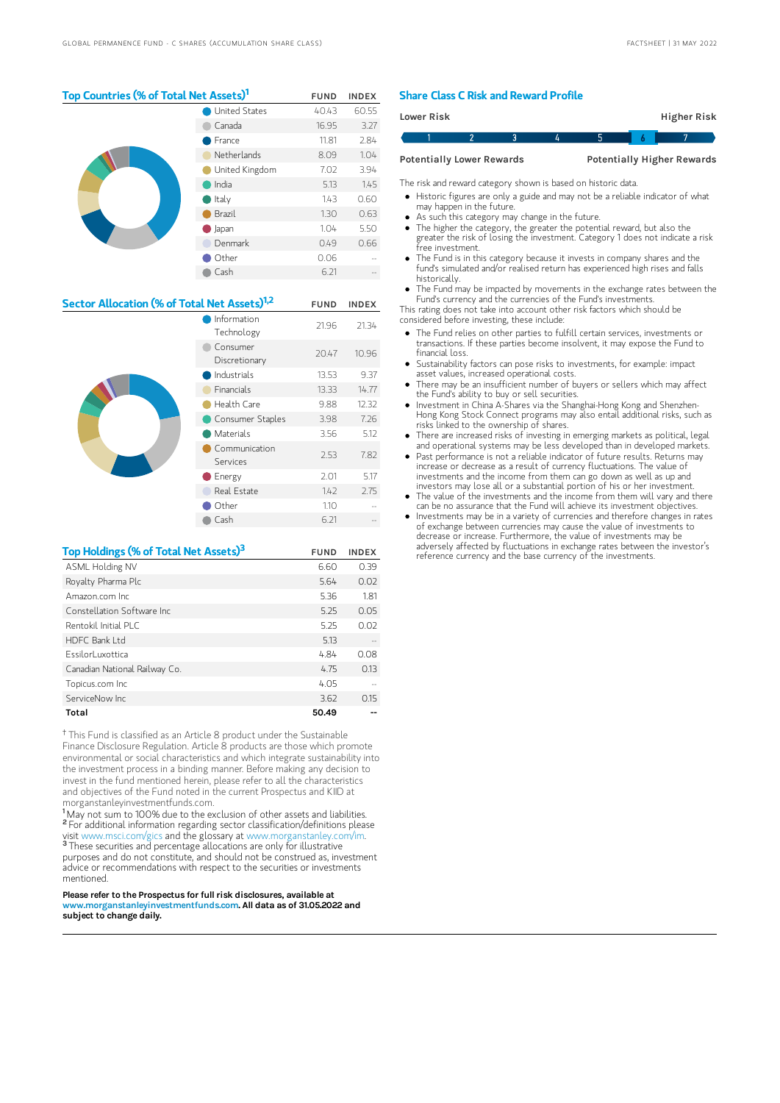# Top Countries (% of Total Net Assets)<sup>1</sup> FUND INDEX

|  | United States    | 40.43 | 60.55 |
|--|------------------|-------|-------|
|  | Canada           | 16.95 | 3.27  |
|  | France           | 11.81 | 2.84  |
|  | Netherlands      | 8.09  | 1.04  |
|  | United Kingdom   | 7.02  | 3.94  |
|  | India            | 5.13  | 1.45  |
|  | $\bullet$ Italy  | 1.43  | 0.60  |
|  | Brazil           | 1.30  | 0.63  |
|  | $\bigcirc$ Japan | 1.04  | 5.50  |
|  | Denmark          | 0.49  | 0.66  |
|  | Other            | 0.06  |       |
|  | Cash             | 6.21  |       |
|  |                  |       |       |

# Sector Allocation (% of Total Net Assets)<sup>1,2</sup> FUND INDEX

|  | Information<br>Technology | 21.96 | 21.34 |
|--|---------------------------|-------|-------|
|  | Consumer<br>Discretionary | 20.47 | 10.96 |
|  | Industrials               | 13.53 | 9.37  |
|  | Financials                | 13.33 | 14.77 |
|  | Health Care               | 9.88  | 12.32 |
|  | Consumer Staples          | 3.98  | 7.26  |
|  | Materials                 | 3.56  | 5.12  |
|  | Communication<br>Services | 2.53  | 7.82  |
|  | Energy                    | 2.01  | 5.17  |
|  | Real Estate               | 1.42  | 2.75  |
|  | Other                     | 1.10  |       |
|  | Cash                      | 6.21  |       |
|  |                           |       |       |

# Top Holdings (% of Total Net Assets)<sup>3</sup> FUND INDEX ASML Holding NV 6.60 0.39 Royalty Pharma Plc 5.64 0.02 Amazon.com Inc 5.36 1.81 Constellation Software Inc 5.25 0.05 Rentokil Initial PLC 5.25 0.02 HDFC Bank Ltd. 5.13 EssilorLuxottica 4.84 0.08 Canadian National Railway Co. 4.75 0.13 Topicus.com Inc 4.05 ServiceNow Inc 3.62 0.15 Total 50.49 --

<sup>†</sup> This Fund is classified as an Article 8 product under the Sustainable Finance Disclosure Regulation. Article 8 products are those which promote environmental or social characteristics and which integrate sustainability into the investment process in a binding manner. Before making any decision to invest in the fund mentioned herein, please refer to all the characteristics and objectives of the Fund noted in the current Prospectus and KIID at morganstanleyinvestmentfunds.com.

<sup>1</sup>May not sum to 100% due to the exclusion of other assets and liabilities. For additional information regarding sector classification/definitions please visit www.msci.com/gics and the glossary at www.morganstanley.com/im. These securities and percentage allocations are only for illustrative purposes and do not constitute, and should not be construed as, investment advice or recommendations with respect to the securities or investments mentioned. 2 p 3-

Please refer to the Prospectus for full risk disclosures, available at www.morganstanleyinvestmentfunds.com. All data as of 31.05.2022 and subject to change daily.

## Share Class C Risk and Reward Profile

| <b>Lower Risk</b>                |  |  |  |                                   | Higher Risk |  |  |
|----------------------------------|--|--|--|-----------------------------------|-------------|--|--|
|                                  |  |  |  |                                   |             |  |  |
| <b>Potentially Lower Rewards</b> |  |  |  | <b>Potentially Higher Rewards</b> |             |  |  |

The risk and reward category shown is based on historic data.

Historic figures are only a guide and may not be a reliable indicator of what

- may happen in the future. As such this category may change in the future.
- The higher the category, the greater the potential reward, but also the
- greater the risk of losing the investment. Category 1 does not indicate a risk free investment.
- The Fund is in this category because it invests in company shares and the fund's simulated and/or realised return has experienced high rises and falls historically.
- The Fund may be impacted by movements in the exchange rates between the Fund's currency and the currencies of the Fund's investments.

This rating does not take into account other risk factors which should be considered before investing, these include:

- The Fund relies on other parties to fulfill certain services, investments or transactions. If these parties become insolvent, it may expose the Fund to financial loss.
- Sustainability factors can pose risks to investments, for example: impact asset values, increased operational costs.
- $\bullet$ There may be an insufficient number of buyers or sellers which may affect the Fund's ability to buy or sell securities.
- Investment in China A-Shares via the Shanghai-Hong Kong and Shenzhen-Hong Kong Stock Connect programs may also entail additional risks, such as risks linked to the ownership of shares.
- There are increased risks of investing in emerging markets as political, legal and operational systems may be less developed than in developed markets.
- Past performance is not a reliable indicator of future results. Returns may increase or decrease as a result of currency fluctuations. The value of investments and the income from them can go down as well as up and investors may lose all or a substantial portion of his or her investment.
- The value of the investments and the income from them will vary and there can be no assurance that the Fund will achieve its investment objectives.
- Investments may be in a variety of currencies and therefore changes in rates of exchange between currencies may cause the value of investments to decrease or increase. Furthermore, the value of investments may be adversely affected by fluctuations in exchange rates between the investor's reference currency and the base currency of the investments.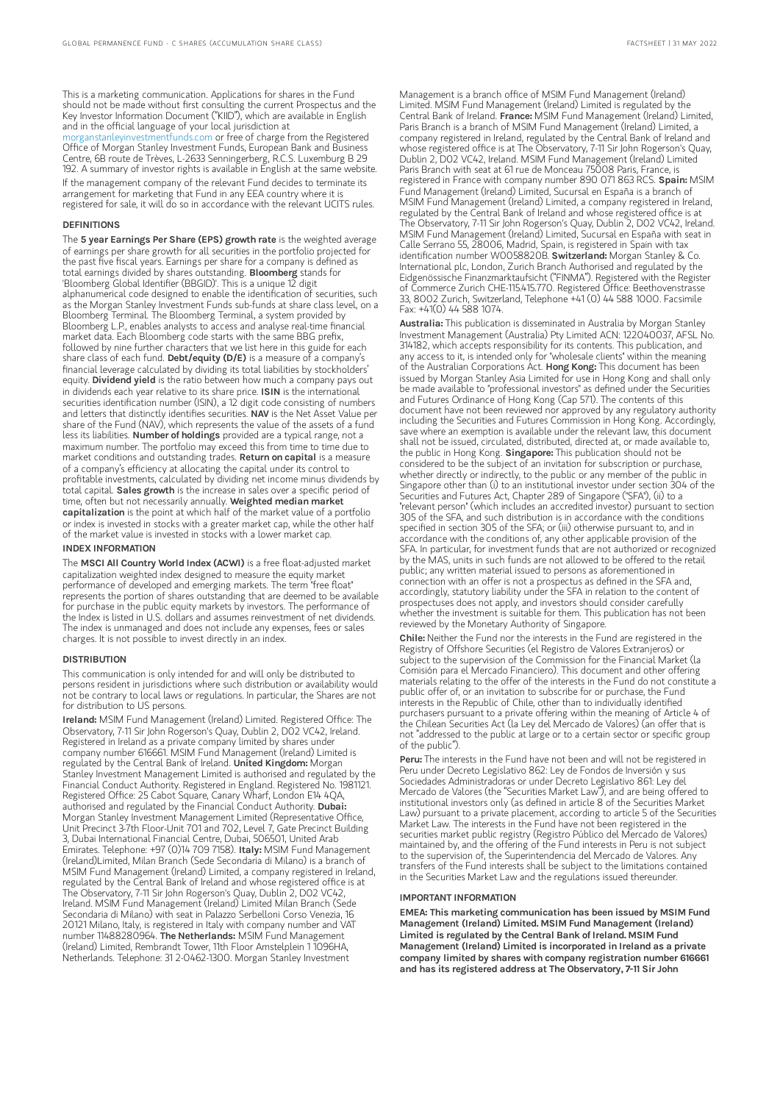This is a marketing communication. Applications for shares in the Fund should not be made without first consulting the current Prospectus and the Key Investor Information Document ("KIID"), which are available in English and in the official language of your local jurisdiction at [morganstanleyinvestmentfunds.com](https://www.morganstanley.com/im/msinvf/index.html) or free of charge from the Registered Office of Morgan Stanley Investment Funds, European Bank and Business Centre, 6B route de Trèves, L-2633 Senningerberg, R.C.S. Luxemburg B 29 192. A summary of investor rights is available in English at the same website. If the management company of the relevant Fund decides to terminate its arrangement for marketing that Fund in any EEA country where it is registered for sale, it will do so in accordance with the relevant UCITS rules.

#### DEFINITIONS

The 5 year Earnings Per Share (EPS) growth rate is the weighted average of earnings per share growth for all securities in the portfolio projected for the past five fiscal years. Earnings per share for a company is defined as total earnings divided by shares outstanding. Bloomberg stands for 'Bloomberg Global Identifier (BBGID)'. This is a unique 12 digit alphanumerical code designed to enable the identification of securities, such as the Morgan Stanley Investment Funds sub-funds at share class level, on a Bloomberg Terminal. The Bloomberg Terminal, a system provided by Bloomberg L.P., enables analysts to access and analyse real-time financial market data. Each Bloomberg code starts with the same BBG prefix, followed by nine further characters that we list here in this guide for each share class of each fund. Debt/equity (D/E) is a measure of a company's financial leverage calculated by dividing its total liabilities by stockholders' equity. Dividend yield is the ratio between how much a company pays out in dividends each year relative to its share price. ISIN is the international securities identification number (ISIN), a 12 digit code consisting of numbers and letters that distinctly identifies securities. NAV is the Net Asset Value per share of the Fund (NAV), which represents the value of the assets of a fund less its liabilities. Number of holdings provided are a typical range, not a maximum number. The portfolio may exceed this from time to time due to market conditions and outstanding trades. Return on capital is a measure of a company's efficiency at allocating the capital under its control to profitable investments, calculated by dividing net income minus dividends by total capital. Sales growth is the increase in sales over a specific period of time, often but not necessarily annually. Weighted median market capitalization is the point at which half of the market value of a portfolio or index is invested in stocks with a greater market cap, while the other half of the market value is invested in stocks with a lower market cap.

#### INDEX INFORMATION

The MSCI All Country World Index (ACWI) is a free float-adjusted market capitalization weighted index designed to measure the equity market performance of developed and emerging markets. The term "free float" represents the portion of shares outstanding that are deemed to be available for purchase in the public equity markets by investors. The performance of the Index is listed in U.S. dollars and assumes reinvestment of net dividends. The index is unmanaged and does not include any expenses, fees or sales charges. It is not possible to invest directly in an index.

#### **DISTRIBUTION**

This communication is only intended for and will only be distributed to persons resident in jurisdictions where such distribution or availability would not be contrary to local laws or regulations. In particular, the Shares are not for distribution to US persons.

Ireland: MSIM Fund Management (Ireland) Limited. Registered Office: The Observatory, 7-11 Sir John Rogerson's Quay, Dublin 2, D02 VC42, Ireland. Registered in Ireland as a private company limited by shares under company number 616661. MSIM Fund Management (Ireland) Limited is regulated by the Central Bank of Ireland. United Kingdom: Morgan Stanley Investment Management Limited is authorised and regulated by the Financial Conduct Authority. Registered in England. Registered No. 1981121. Registered Office: 25 Cabot Square, Canary Wharf, London E14 4QA, authorised and regulated by the Financial Conduct Authority. Dubai: Morgan Stanley Investment Management Limited (Representative Office, Unit Precinct 3-7th Floor-Unit 701 and 702, Level 7, Gate Precinct Building 3, Dubai International Financial Centre, Dubai, 506501, United Arab<br>Emirates. Telephone: +97 (0)14 709 7158). **Italy:** MSIM Fund Management (Ireland)Limited, Milan Branch (Sede Secondaria di Milano) is a branch of MSIM Fund Management (Ireland) Limited, a company registered in Ireland, regulated by the Central Bank of Ireland and whose registered office is at The Observatory, 7-11 Sir John Rogerson's Quay, Dublin 2, D02 VC42, Ireland. MSIM Fund Management (Ireland) Limited Milan Branch (Sede Secondaria di Milano) with seat in Palazzo Serbelloni Corso Venezia, 16 20121 Milano, Italy, is registered in Italy with company number and VAT number 11488280964. The Netherlands: MSIM Fund Management (Ireland) Limited, Rembrandt Tower, 11th Floor Amstelplein 1 1096HA, Netherlands. Telephone: 31 2-0462-1300. Morgan Stanley Investment

Management is a branch office of MSIM Fund Management (Ireland) Limited. MSIM Fund Management (Ireland) Limited is regulated by the Central Bank of Ireland. France: MSIM Fund Management (Ireland) Limited, Paris Branch is a branch of MSIM Fund Management (Ireland) Limited, a company registered in Ireland, regulated by the Central Bank of Ireland and whose registered office is at The Observatory, 7-11 Sir John Rogerson's Quay, Dublin 2, D02 VC42, Ireland. MSIM Fund Management (Ireland) Limited Paris Branch with seat at 61 rue de Monceau 75008 Paris, France, is registered in France with company number 890 071 863 RCS. Spain: MSIM Fund Management (Ireland) Limited, Sucursal en España is a branch of MSIM Fund Management (Ireland) Limited, a company registered in Ireland, regulated by the Central Bank of Ireland and whose registered office is at The Observatory, 7-11 Sir John Rogerson's Quay, Dublin 2, D02 VC42, Ireland. MSIM Fund Management (Ireland) Limited, Sucursal en España with seat in Calle Serrano 55, 28006, Madrid, Spain, is registered in Spain with tax identification number W0058820B. Switzerland: Morgan Stanley & Co. International plc, London, Zurich Branch Authorised and regulated by the Eidgenössische Finanzmarktaufsicht ("FINMA"). Registered with the Register of Commerce Zurich CHE-115.415.770. Registered Office: Beethovenstrasse 33, 8002 Zurich, Switzerland, Telephone +41 (0) 44 588 1000. Facsimile Fax: +41(0) 44 588 1074.

Australia: This publication is disseminated in Australia by Morgan Stanley Investment Management (Australia) Pty Limited ACN: 122040037, AFSL No. 314182, which accepts responsibility for its contents. This publication, and any access to it, is intended only for "wholesale clients" within the meaning of the Australian Corporations Act. Hong Kong: This document has been issued by Morgan Stanley Asia Limited for use in Hong Kong and shall only be made available to "professional investors" as defined under the Securities and Futures Ordinance of Hong Kong (Cap 571). The contents of this document have not been reviewed nor approved by any regulatory authority including the Securities and Futures Commission in Hong Kong. Accordingly, save where an exemption is available under the relevant law, this document shall not be issued, circulated, distributed, directed at, or made available to, the public in Hong Kong. Singapore: This publication should not be considered to be the subject of an invitation for subscription or purchase, whether directly or indirectly, to the public or any member of the public in Singapore other than (i) to an institutional investor under section 304 of the Securities and Futures Act, Chapter 289 of Singapore ("SFA"), (ii) to a "relevant person" (which includes an accredited investor) pursuant to section 305 of the SFA, and such distribution is in accordance with the conditions specified in section 305 of the SFA; or (iii) otherwise pursuant to, and in accordance with the conditions of, any other applicable provision of the SFA. In particular, for investment funds that are not authorized or recognized by the MAS, units in such funds are not allowed to be offered to the retail public; any written material issued to persons as aforementioned in connection with an offer is not a prospectus as defined in the SFA and, accordingly, statutory liability under the SFA in relation to the content of prospectuses does not apply, and investors should consider carefully whether the investment is suitable for them. This publication has not been reviewed by the Monetary Authority of Singapore.

Chile: Neither the Fund nor the interests in the Fund are registered in the Registry of Offshore Securities (el Registro de Valores Extranjeros) or subject to the supervision of the Commission for the Financial Market (la Comisión para el Mercado Financiero). This document and other offering materials relating to the offer of the interests in the Fund do not constitute a public offer of, or an invitation to subscribe for or purchase, the Fund interests in the Republic of Chile, other than to individually identified purchasers pursuant to a private offering within the meaning of Article 4 of the Chilean Securities Act (la Ley del Mercado de Valores) (an offer that is "addressed to the public at large or to a certain sector or specific group of the public").

Peru: The interests in the Fund have not been and will not be registered in Peru under Decreto Legislativo 862: Ley de Fondos de Inversión y sus Sociedades Administradoras or under Decreto Legislativo 861: Ley del Mercado de Valores (the "Securities Market Law"), and are being offered to institutional investors only (as defined in article 8 of the Securities Market Law) pursuant to a private placement, according to article 5 of the Securities Earry parsaant to a private patternent, according to article 5 or the 50<br>Market Law. The interests in the Fund have not been registered in the securities market public registry (Registro Público del Mercado de Valores) maintained by, and the offering of the Fund interests in Peru is not subject to the supervision of, the Superintendencia del Mercado de Valores. Any transfers of the Fund interests shall be subject to the limitations contained in the Securities Market Law and the regulations issued thereunder.

#### IMPORTANT INFORMATION

EMEA: This marketing communication has been issued by MSIM Fund Management (Ireland) Limited. MSIM Fund Management (Ireland) Limited is regulated by the Central Bank of Ireland. MSIM Fund Management (Ireland) Limited is incorporated in Ireland as a private company limited by shares with company registration number 616661 and has its registered address at The Observatory, 7-11 Sir John